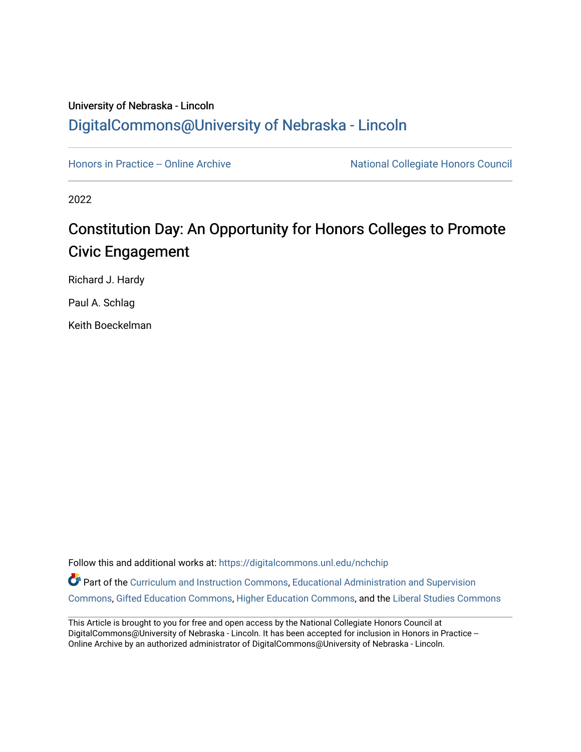# University of Nebraska - Lincoln [DigitalCommons@University of Nebraska - Lincoln](https://digitalcommons.unl.edu/)

[Honors in Practice -- Online Archive](https://digitalcommons.unl.edu/nchchip) National Collegiate Honors Council

2022

# Constitution Day: An Opportunity for Honors Colleges to Promote Civic Engagement

Richard J. Hardy

Paul A. Schlag

Keith Boeckelman

Follow this and additional works at: [https://digitalcommons.unl.edu/nchchip](https://digitalcommons.unl.edu/nchchip?utm_source=digitalcommons.unl.edu%2Fnchchip%2F370&utm_medium=PDF&utm_campaign=PDFCoverPages) 

Part of the [Curriculum and Instruction Commons,](http://network.bepress.com/hgg/discipline/786?utm_source=digitalcommons.unl.edu%2Fnchchip%2F370&utm_medium=PDF&utm_campaign=PDFCoverPages) Educational Administration and Supervision [Commons](http://network.bepress.com/hgg/discipline/787?utm_source=digitalcommons.unl.edu%2Fnchchip%2F370&utm_medium=PDF&utm_campaign=PDFCoverPages), [Gifted Education Commons,](http://network.bepress.com/hgg/discipline/1048?utm_source=digitalcommons.unl.edu%2Fnchchip%2F370&utm_medium=PDF&utm_campaign=PDFCoverPages) [Higher Education Commons](http://network.bepress.com/hgg/discipline/1245?utm_source=digitalcommons.unl.edu%2Fnchchip%2F370&utm_medium=PDF&utm_campaign=PDFCoverPages), and the [Liberal Studies Commons](http://network.bepress.com/hgg/discipline/1042?utm_source=digitalcommons.unl.edu%2Fnchchip%2F370&utm_medium=PDF&utm_campaign=PDFCoverPages)

This Article is brought to you for free and open access by the National Collegiate Honors Council at DigitalCommons@University of Nebraska - Lincoln. It has been accepted for inclusion in Honors in Practice --Online Archive by an authorized administrator of DigitalCommons@University of Nebraska - Lincoln.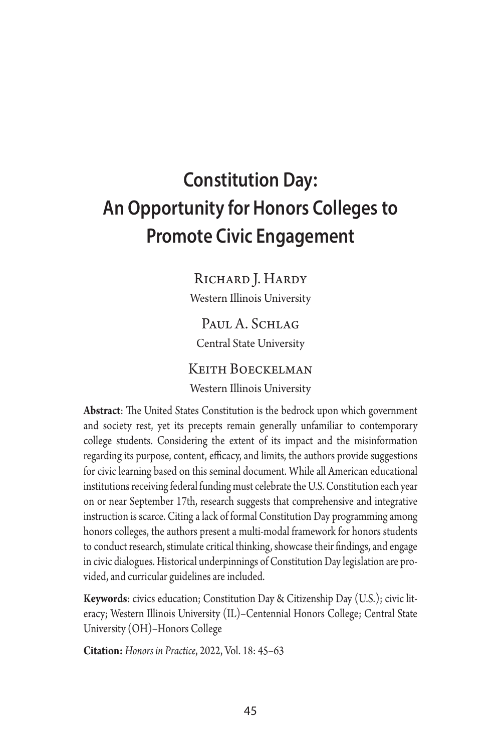# **Constitution Day: An Opportunity for Honors Colleges to Promote Civic Engagement**

RICHARD J. HARDY

Western Illinois University

Paul A. Schlag Central State University

### Keith Boeckelman

Western Illinois University

**Abstract**: The United States Constitution is the bedrock upon which government and society rest, yet its precepts remain generally unfamiliar to contemporary college students. Considering the extent of its impact and the misinformation regarding its purpose, content, efficacy, and limits, the authors provide suggestions for civic learning based on this seminal document. While all American educational institutions receiving federal funding must celebrate the U.S. Constitution each year on or near September 17th, research suggests that comprehensive and integrative instruction is scarce. Citing a lack of formal Constitution Day programming among honors colleges, the authors present a multi-modal framework for honors students to conduct research, stimulate critical thinking, showcase their findings, and engage in civic dialogues. Historical underpinnings of Constitution Day legislation are provided, and curricular guidelines are included.

**Keywords**: civics education; Constitution Day & Citizenship Day (U.S.); civic literacy; Western Illinois University (IL)–Centennial Honors College; Central State University (OH)–Honors College

**Citation:** *Honors in Practice*, 2022, Vol. 18: 45–63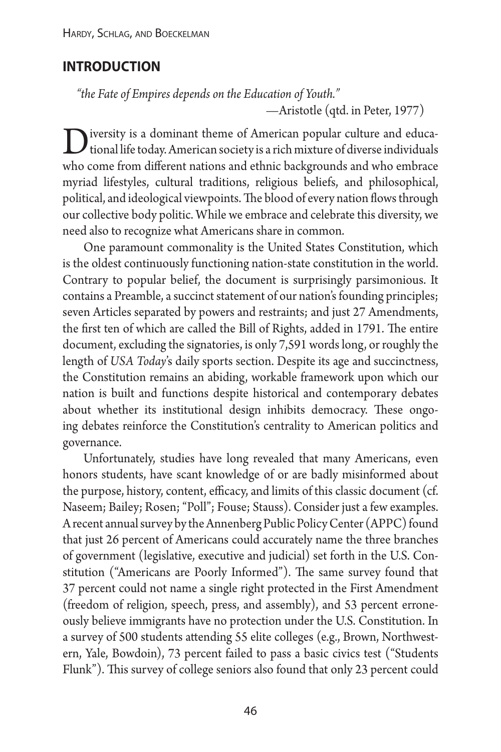# **introduction**

*"the Fate of Empires depends on the Education of Youth." —*Aristotle (qtd. in Peter, 1977)

 $\sum$  iversity is a dominant theme of American popular culture and educa-<br>tional life today. American society is a rich mixture of diverse individuals<br>as a sense from different actions and ethnic hadressen deed a behavior who come from different nations and ethnic backgrounds and who embrace myriad lifestyles, cultural traditions, religious beliefs, and philosophical, political, and ideological viewpoints. The blood of every nation flows through our collective body politic. While we embrace and celebrate this diversity, we need also to recognize what Americans share in common.

One paramount commonality is the United States Constitution, which is the oldest continuously functioning nation-state constitution in the world. Contrary to popular belief, the document is surprisingly parsimonious. It contains a Preamble, a succinct statement of our nation's founding principles; seven Articles separated by powers and restraints; and just 27 Amendments, the first ten of which are called the Bill of Rights, added in 1791. The entire document, excluding the signatories, is only 7,591 words long, or roughly the length of *USA Today*'s daily sports section. Despite its age and succinctness, the Constitution remains an abiding, workable framework upon which our nation is built and functions despite historical and contemporary debates about whether its institutional design inhibits democracy. These ongoing debates reinforce the Constitution's centrality to American politics and governance.

Unfortunately, studies have long revealed that many Americans, even honors students, have scant knowledge of or are badly misinformed about the purpose, history, content, efficacy, and limits of this classic document (cf. Naseem; Bailey; Rosen; "Poll"; Fouse; Stauss). Consider just a few examples. A recent annual survey by the Annenberg Public Policy Center (APPC) found that just 26 percent of Americans could accurately name the three branches of government (legislative, executive and judicial) set forth in the U.S. Constitution ("Americans are Poorly Informed"). The same survey found that 37 percent could not name a single right protected in the First Amendment (freedom of religion, speech, press, and assembly), and 53 percent erroneously believe immigrants have no protection under the U.S. Constitution. In a survey of 500 students attending 55 elite colleges (e.g., Brown, Northwestern, Yale, Bowdoin), 73 percent failed to pass a basic civics test ("Students Flunk"). This survey of college seniors also found that only 23 percent could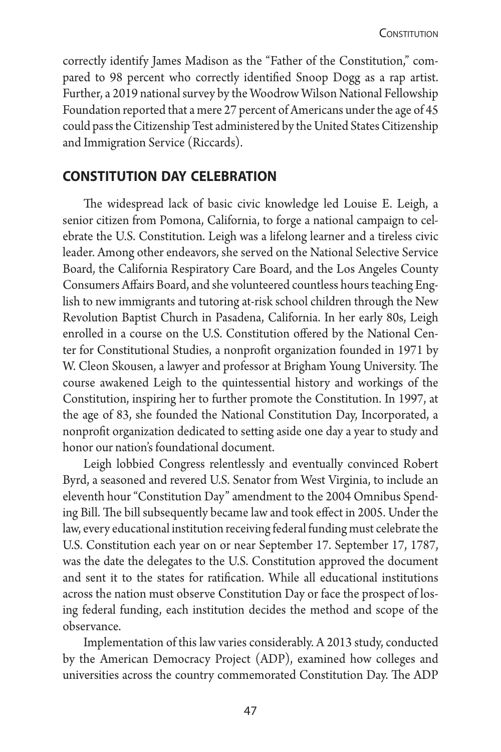correctly identify James Madison as the "Father of the Constitution," compared to 98 percent who correctly identified Snoop Dogg as a rap artist. Further, a 2019 national survey by the Woodrow Wilson National Fellowship Foundation reported that a mere 27 percent of Americans under the age of 45 could pass the Citizenship Test administered by the United States Citizenship and Immigration Service (Riccards).

## **constitution day celebration**

The widespread lack of basic civic knowledge led Louise E. Leigh, a senior citizen from Pomona, California, to forge a national campaign to celebrate the U.S. Constitution. Leigh was a lifelong learner and a tireless civic leader. Among other endeavors, she served on the National Selective Service Board, the California Respiratory Care Board, and the Los Angeles County Consumers Affairs Board, and she volunteered countless hours teaching English to new immigrants and tutoring at-risk school children through the New Revolution Baptist Church in Pasadena, California. In her early 80s, Leigh enrolled in a course on the U.S. Constitution offered by the National Center for Constitutional Studies, a nonprofit organization founded in 1971 by W. Cleon Skousen, a lawyer and professor at Brigham Young University. The course awakened Leigh to the quintessential history and workings of the Constitution, inspiring her to further promote the Constitution. In 1997, at the age of 83, she founded the National Constitution Day, Incorporated, a nonprofit organization dedicated to setting aside one day a year to study and honor our nation's foundational document.

Leigh lobbied Congress relentlessly and eventually convinced Robert Byrd, a seasoned and revered U.S. Senator from West Virginia, to include an eleventh hour "Constitution Day" amendment to the 2004 Omnibus Spending Bill. The bill subsequently became law and took effect in 2005. Under the law, every educational institution receiving federal funding must celebrate the U.S. Constitution each year on or near September 17. September 17, 1787, was the date the delegates to the U.S. Constitution approved the document and sent it to the states for ratification. While all educational institutions across the nation must observe Constitution Day or face the prospect of losing federal funding, each institution decides the method and scope of the observance.

Implementation of this law varies considerably. A 2013 study, conducted by the American Democracy Project (ADP), examined how colleges and universities across the country commemorated Constitution Day. The ADP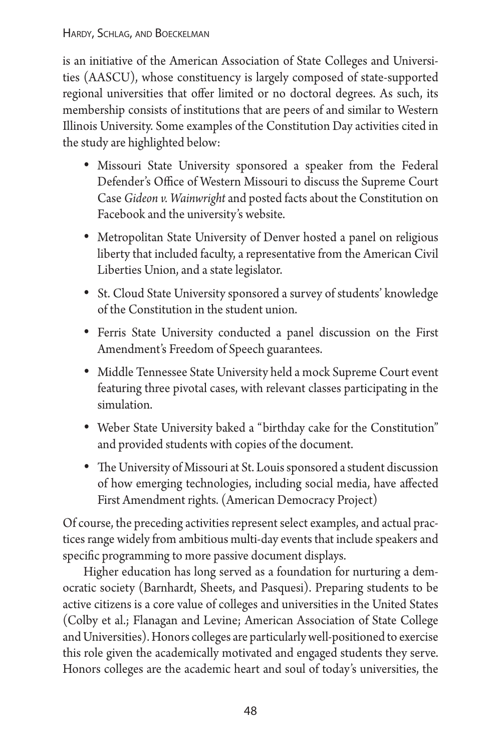is an initiative of the American Association of State Colleges and Universities (AASCU), whose constituency is largely composed of state-supported regional universities that offer limited or no doctoral degrees. As such, its membership consists of institutions that are peers of and similar to Western Illinois University. Some examples of the Constitution Day activities cited in the study are highlighted below:

- Missouri State University sponsored a speaker from the Federal Defender's Office of Western Missouri to discuss the Supreme Court Case *Gideon v. Wainwright* and posted facts about the Constitution on Facebook and the university's website.
- Metropolitan State University of Denver hosted a panel on religious liberty that included faculty, a representative from the American Civil Liberties Union, and a state legislator.
- St. Cloud State University sponsored a survey of students' knowledge of the Constitution in the student union.
- Ferris State University conducted a panel discussion on the First Amendment's Freedom of Speech guarantees.
- Middle Tennessee State University held a mock Supreme Court event featuring three pivotal cases, with relevant classes participating in the simulation.
- Weber State University baked a "birthday cake for the Constitution" and provided students with copies of the document.
- • The University of Missouri at St. Louis sponsored a student discussion of how emerging technologies, including social media, have affected First Amendment rights. (American Democracy Project)

Of course, the preceding activities represent select examples, and actual practices range widely from ambitious multi-day events that include speakers and specific programming to more passive document displays.

Higher education has long served as a foundation for nurturing a democratic society (Barnhardt, Sheets, and Pasquesi). Preparing students to be active citizens is a core value of colleges and universities in the United States (Colby et al.; Flanagan and Levine; American Association of State College and Universities). Honors colleges are particularly well-positioned to exercise this role given the academically motivated and engaged students they serve. Honors colleges are the academic heart and soul of today's universities, the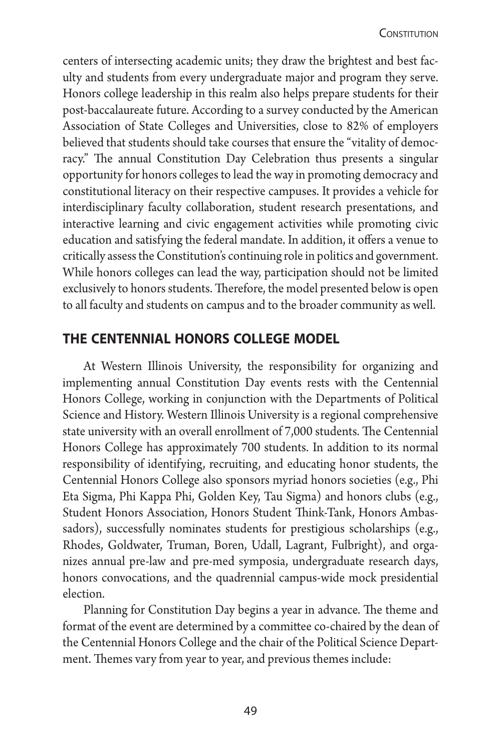centers of intersecting academic units; they draw the brightest and best faculty and students from every undergraduate major and program they serve. Honors college leadership in this realm also helps prepare students for their post-baccalaureate future. According to a survey conducted by the American Association of State Colleges and Universities, close to 82% of employers believed that students should take courses that ensure the "vitality of democracy." The annual Constitution Day Celebration thus presents a singular opportunity for honors colleges to lead the way in promoting democracy and constitutional literacy on their respective campuses. It provides a vehicle for interdisciplinary faculty collaboration, student research presentations, and interactive learning and civic engagement activities while promoting civic education and satisfying the federal mandate. In addition, it offers a venue to critically assess the Constitution's continuing role in politics and government. While honors colleges can lead the way, participation should not be limited exclusively to honors students. Therefore, the model presented below is open to all faculty and students on campus and to the broader community as well.

## **the centennial honors college model**

At Western Illinois University, the responsibility for organizing and implementing annual Constitution Day events rests with the Centennial Honors College, working in conjunction with the Departments of Political Science and History. Western Illinois University is a regional comprehensive state university with an overall enrollment of 7,000 students. The Centennial Honors College has approximately 700 students. In addition to its normal responsibility of identifying, recruiting, and educating honor students, the Centennial Honors College also sponsors myriad honors societies (e.g., Phi Eta Sigma, Phi Kappa Phi, Golden Key, Tau Sigma) and honors clubs (e.g., Student Honors Association, Honors Student Think-Tank, Honors Ambassadors), successfully nominates students for prestigious scholarships (e.g., Rhodes, Goldwater, Truman, Boren, Udall, Lagrant, Fulbright), and organizes annual pre-law and pre-med symposia, undergraduate research days, honors convocations, and the quadrennial campus-wide mock presidential election.

Planning for Constitution Day begins a year in advance. The theme and format of the event are determined by a committee co-chaired by the dean of the Centennial Honors College and the chair of the Political Science Department. Themes vary from year to year, and previous themes include: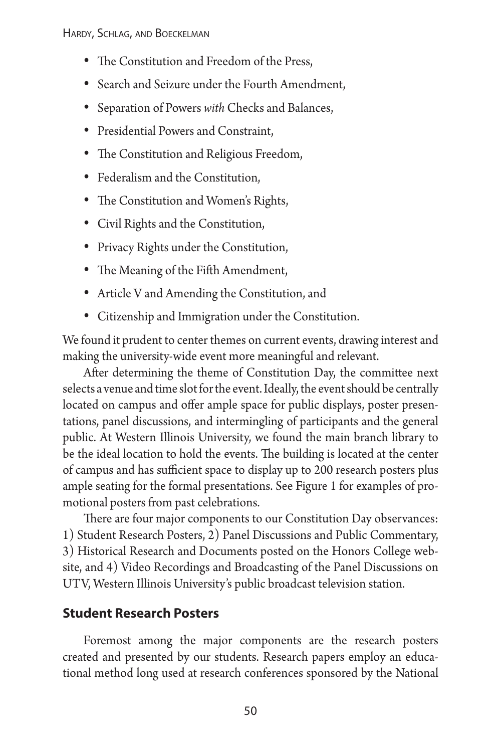- The Constitution and Freedom of the Press,
- • Search and Seizure under the Fourth Amendment,
- • Separation of Powers *with* Checks and Balances,
- • Presidential Powers and Constraint,
- The Constitution and Religious Freedom,
- Federalism and the Constitution,
- The Constitution and Women's Rights,
- • Civil Rights and the Constitution,
- Privacy Rights under the Constitution,
- • The Meaning of the Fifth Amendment,
- • Article V and Amending the Constitution, and
- • Citizenship and Immigration under the Constitution.

We found it prudent to center themes on current events, drawing interest and making the university-wide event more meaningful and relevant.

After determining the theme of Constitution Day, the committee next selects a venue and time slot for the event. Ideally, the event should be centrally located on campus and offer ample space for public displays, poster presentations, panel discussions, and intermingling of participants and the general public. At Western Illinois University, we found the main branch library to be the ideal location to hold the events. The building is located at the center of campus and has sufficient space to display up to 200 research posters plus ample seating for the formal presentations. See Figure 1 for examples of promotional posters from past celebrations.

There are four major components to our Constitution Day observances: 1) Student Research Posters, 2) Panel Discussions and Public Commentary, 3) Historical Research and Documents posted on the Honors College website, and 4) Video Recordings and Broadcasting of the Panel Discussions on UTV, Western Illinois University's public broadcast television station.

### **Student Research Posters**

Foremost among the major components are the research posters created and presented by our students. Research papers employ an educational method long used at research conferences sponsored by the National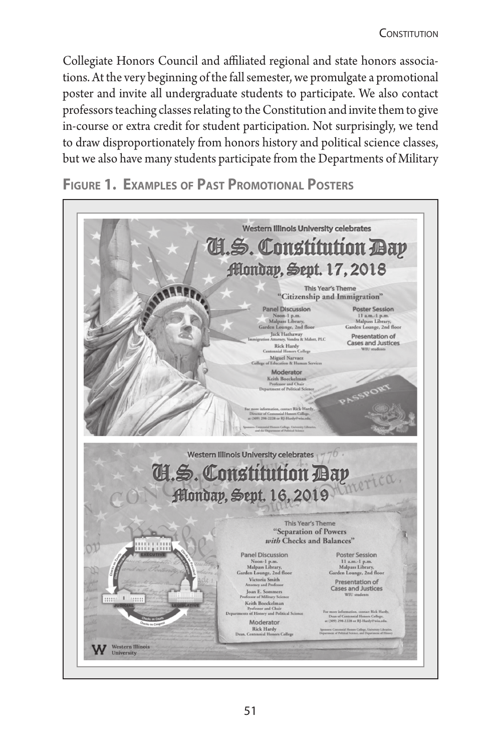Collegiate Honors Council and affiliated regional and state honors associations. At the very beginning of the fall semester, we promulgate a promotional poster and invite all undergraduate students to participate. We also contact professors teaching classes relating to the Constitution and invite them to give in-course or extra credit for student participation. Not surprisingly, we tend to draw disproportionately from honors history and political science classes, but we also have many students participate from the Departments of Military

**Figure 1. Examples of Past Promotional Posters**

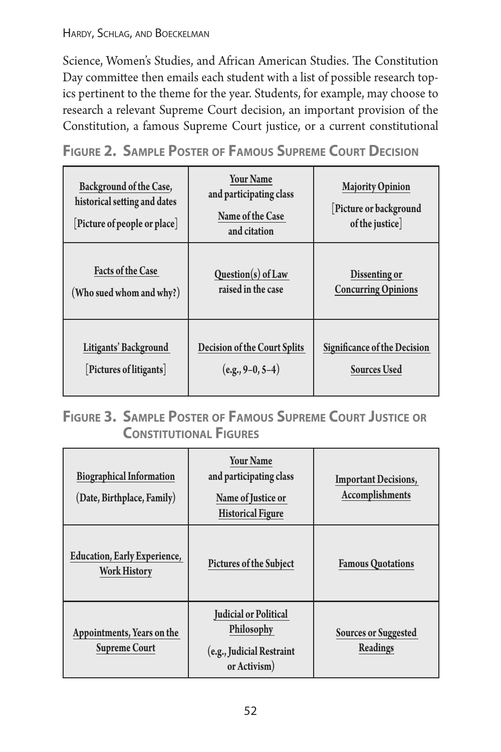Science, Women's Studies, and African American Studies. The Constitution Day committee then emails each student with a list of possible research topics pertinent to the theme for the year. Students, for example, may choose to research a relevant Supreme Court decision, an important provision of the Constitution, a famous Supreme Court justice, or a current constitutional

**Figure 2. Sample Poster of Famous Supreme Court Decision**

| Background of the Case,<br>historical setting and dates<br>[Picture of people or place] | <b>Your Name</b><br>and participating class<br>Name of the Case<br>and citation | <b>Majority Opinion</b><br>[Picture or background<br>of the justice |
|-----------------------------------------------------------------------------------------|---------------------------------------------------------------------------------|---------------------------------------------------------------------|
| <b>Facts of the Case</b>                                                                | $Question(s)$ of Law                                                            | Dissenting or                                                       |
| (Who sued whom and why?)                                                                | raised in the case                                                              | <b>Concurring Opinions</b>                                          |
| Litigants' Background                                                                   | <b>Decision of the Court Splits</b>                                             | <b>Significance of the Decision</b>                                 |
| [Pictures of litigants]                                                                 | $(e.g., 9-0, 5-4)$                                                              | <b>Sources Used</b>                                                 |

# **Figure 3. Sample Poster of Famous Supreme Court Justice or Constitutional Figures**

| <b>Biographical Information</b><br>(Date, Birthplace, Family) | <b>Your Name</b><br>and participating class<br>Name of Justice or<br><b>Historical Figure</b> | <b>Important Decisions,</b><br>Accomplishments |
|---------------------------------------------------------------|-----------------------------------------------------------------------------------------------|------------------------------------------------|
| <b>Education, Early Experience,</b><br><b>Work History</b>    | <b>Pictures of the Subject</b>                                                                | <b>Famous Quotations</b>                       |
| Appointments, Years on the<br><b>Supreme Court</b>            | <b>Judicial or Political</b><br>Philosophy<br>(e.g., Judicial Restraint<br>or Activism)       | <b>Sources or Suggested</b><br>Readings        |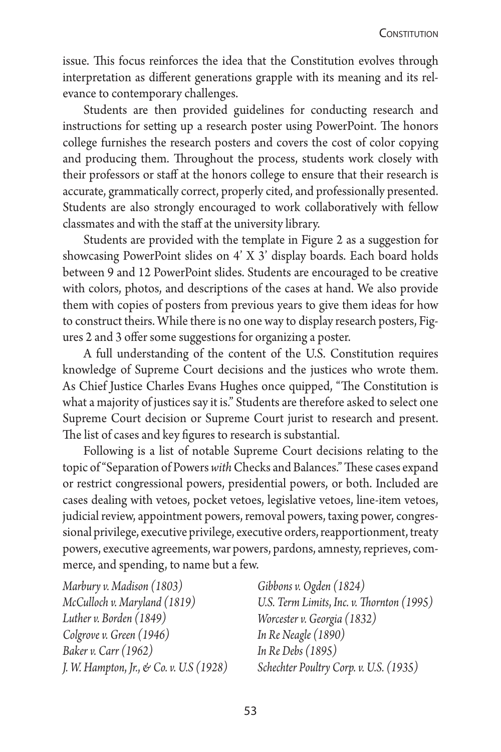issue. This focus reinforces the idea that the Constitution evolves through interpretation as different generations grapple with its meaning and its relevance to contemporary challenges.

Students are then provided guidelines for conducting research and instructions for setting up a research poster using PowerPoint. The honors college furnishes the research posters and covers the cost of color copying and producing them. Throughout the process, students work closely with their professors or staff at the honors college to ensure that their research is accurate, grammatically correct, properly cited, and professionally presented. Students are also strongly encouraged to work collaboratively with fellow classmates and with the staff at the university library.

Students are provided with the template in Figure 2 as a suggestion for showcasing PowerPoint slides on 4' X 3' display boards. Each board holds between 9 and 12 PowerPoint slides. Students are encouraged to be creative with colors, photos, and descriptions of the cases at hand. We also provide them with copies of posters from previous years to give them ideas for how to construct theirs. While there is no one way to display research posters, Figures 2 and 3 offer some suggestions for organizing a poster.

A full understanding of the content of the U.S. Constitution requires knowledge of Supreme Court decisions and the justices who wrote them. As Chief Justice Charles Evans Hughes once quipped, "The Constitution is what a majority of justices say it is." Students are therefore asked to select one Supreme Court decision or Supreme Court jurist to research and present. The list of cases and key figures to research is substantial.

Following is a list of notable Supreme Court decisions relating to the topic of "Separation of Powers *with* Checks and Balances." These cases expand or restrict congressional powers, presidential powers, or both. Included are cases dealing with vetoes, pocket vetoes, legislative vetoes, line-item vetoes, judicial review, appointment powers, removal powers, taxing power, congressional privilege, executive privilege, executive orders, reapportionment, treaty powers, executive agreements, war powers, pardons, amnesty, reprieves, commerce, and spending, to name but a few.

*Marbury v. Madison (1803) McCulloch v. Maryland (1819) Luther v. Borden (1849) Colgrove v. Green (1946) Baker v. Carr (1962) J. W. Hampton*, *Jr.*, *& Co. v. U.S (1928)*

*Gibbons v. Ogden (1824) U.S. Term Limits*, *Inc. v. Thornton (1995) Worcester v. Georgia (1832) In Re Neagle (1890) In Re Debs (1895) Schechter Poultry Corp. v. U.S. (1935)*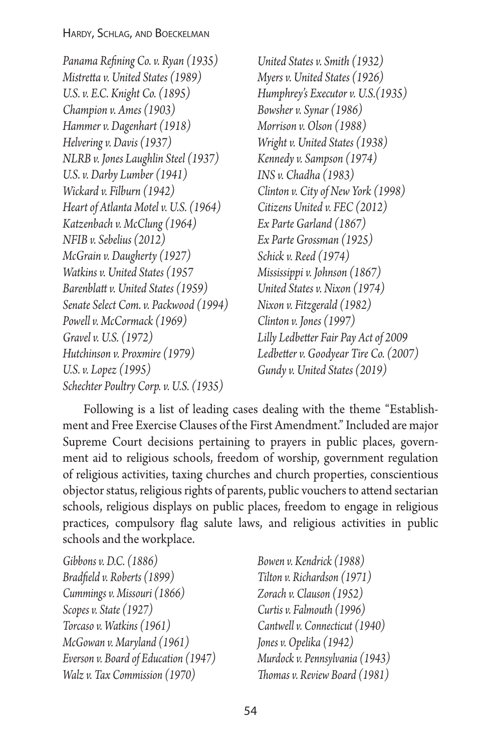*Panama Refining Co. v. Ryan (1935) Mistretta v. United States (1989) U.S. v. E.C. Knight Co. (1895) Champion v. Ames (1903) Hammer v. Dagenhart (1918) Helvering v. Davis (1937) NLRB v. Jones Laughlin Steel (1937) U.S. v. Darby Lumber (1941) Wickard v. Filburn (1942) Heart of Atlanta Motel v. U.S. (1964) Katzenbach v. McClung (1964) NFIB v. Sebelius (2012) McGrain v. Daugherty (1927) Watkins v. United States (1957 Barenblatt v. United States (1959) Senate Select Com. v. Packwood (1994) Powell v. McCormack (1969) Gravel v. U.S. (1972) Hutchinson v. Proxmire (1979) U.S. v. Lopez (1995) Schechter Poultry Corp. v. U.S. (1935)*

*United States v. Smith (1932) Myers v. United States (1926) Humphrey's Executor v. U.S.(1935) Bowsher v. Synar (1986) Morrison v. Olson (1988) Wright v. United States (1938) Kennedy v. Sampson (1974) INS v. Chadha (1983) Clinton v. City of New York (1998) Citizens United v. FEC (2012) Ex Parte Garland (1867) Ex Parte Grossman (1925) Schick v. Reed (1974) Mississippi v. Johnson (1867) United States v. Nixon (1974) Nixon v. Fitzgerald (1982) Clinton v. Jones (1997) Lilly Ledbetter Fair Pay Act of 2009 Ledbetter v. Goodyear Tire Co. (2007) Gundy v. United States (2019)*

Following is a list of leading cases dealing with the theme "Establishment and Free Exercise Clauses of the First Amendment." Included are major Supreme Court decisions pertaining to prayers in public places, government aid to religious schools, freedom of worship, government regulation of religious activities, taxing churches and church properties, conscientious objector status, religious rights of parents, public vouchers to attend sectarian schools, religious displays on public places, freedom to engage in religious practices, compulsory flag salute laws, and religious activities in public schools and the workplace.

| Gibbons v. D.C. (1886)               |
|--------------------------------------|
| Bradfield v. Roberts (1899)          |
| Cummings v. Missouri (1866)          |
| Scopes v. State (1927)               |
| Torcaso v. Watkins (1961)            |
| McGowan v. Maryland (1961)           |
| Everson v. Board of Education (1947) |
| Walz v. Tax Commission (1970)        |

*Bowen v. Kendrick (1988) Tilton v. Richardson (1971) Zorach v. Clauson (1952) Curtis v. Falmouth (1996) Cantwell v. Connecticut (1940) Jones v. Opelika (1942) Murdock v. Pennsylvania (1943) Thomas v. Review Board (1981)*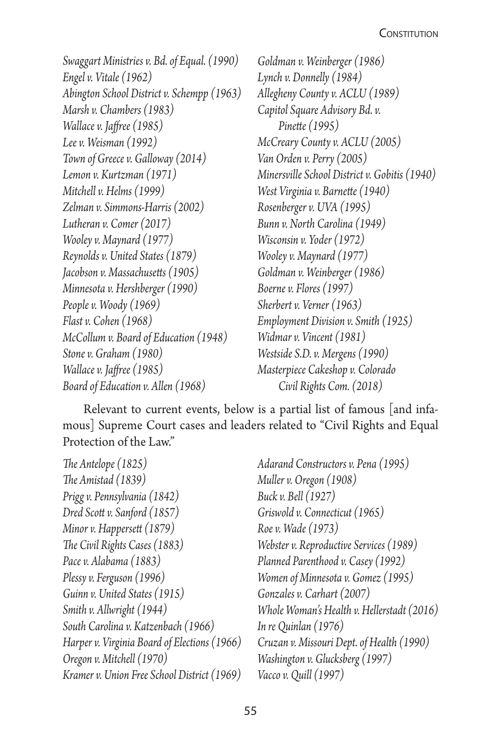*Swaggart Ministries v. Bd. of Equal. (1990) Engel v. Vitale (1962) Abington School District v. Schempp (1963) Marsh v. Chambers (1983) Wallace v. Jaffree (1985) Lee v. Weisman (1992) Town of Greece v. Galloway (2014) Lemon v. Kurtzman (1971) Mitchell v. Helms (1999) Zelman v. Simmons-Harris (2002) Lutheran v. Comer (2017) Wooley v. Maynard (1977) Reynolds v. United States (1879) Jacobson v. Massachusetts (1905) Minnesota v. Hershberger (1990) People v. Woody (1969) Flast v. Cohen (1968) McCollum v. Board of Education (1948) Stone v. Graham (1980) Wallace v. Jaffree (1985) Board of Education v. Allen (1968)*

*Goldman v. Weinberger (1986) Lynch v. Donnelly (1984) Allegheny County v. ACLU (1989) Capitol Square Advisory Bd. v. Pinette (1995) McCreary County v. ACLU (2005) Van Orden v. Perry (2005) Minersville School District v. Gobitis (1940) West Virginia v. Barnette (1940) Rosenberger v. UVA (1995) Bunn v. North Carolina (1949) Wisconsin v. Yoder (1972) Wooley v. Maynard (1977) Goldman v. Weinberger (1986) Boerne v. Flores (1997) Sherbert v. Verner (1963) Employment Division v. Smith (1925) Widmar v. Vincent (1981) Westside S.D. v. Mergens (1990) Masterpiece Cakeshop v. Colorado Civil Rights Com. (2018)*

Relevant to current events, below is a partial list of famous [and infamous] Supreme Court cases and leaders related to "Civil Rights and Equal Protection of the Law."

| The Antelope (1825)                          | Ï |
|----------------------------------------------|---|
| The Amistad (1839)                           |   |
| Prigg v. Pennsylvania (1842)                 | Ι |
| Dred Scott v. Sanford (1857)                 | ( |
| Minor v. Happersett (1879)                   | ŀ |
| The Civil Rights Cases (1883)                | T |
| Pace v. Alabama (1883)                       | I |
| Plessy v. Ferguson (1996)                    | T |
| Guinn v. United States (1915)                |   |
| Smith v. Allwright (1944)                    | J |
| South Carolina v. Katzenbach (1966)          | I |
| Harper v. Virginia Board of Elections (1966) | ( |
| Oregon v. Mitchell (1970)                    | Ţ |
| Kramer v. Union Free School District (1969)  |   |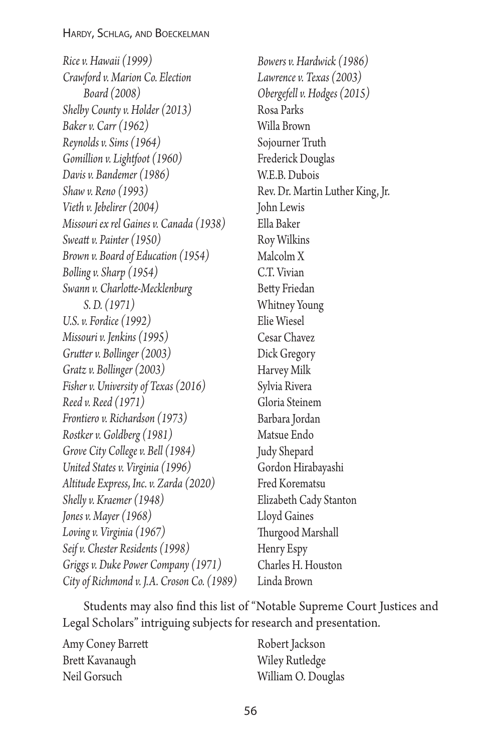*Rice v. Hawaii (1999) Crawford v. Marion Co. Election Board (2008) Shelby County v. Holder (2013) Baker v. Carr (1962) Reynolds v. Sims (1964) Gomillion v. Lightfoot (1960) Davis v. Bandemer (1986) Shaw v. Reno (1993) Vieth v. Jebelirer (2004) Missouri ex rel Gaines v. Canada (1938) Sweatt v. Painter (1950) Brown v. Board of Education (1954) Bolling v. Sharp (1954) Swann v. Charlotte-Mecklenburg S. D. (1971) U.S. v. Fordice (1992) Missouri v. Jenkins (1995) Grutter v. Bollinger (2003) Gratz v. Bollinger (2003) Fisher v. University of Texas (2016) Reed v. Reed (1971) Frontiero v. Richardson (1973) Rostker v. Goldberg (1981) Grove City College v. Bell (1984) United States v. Virginia (1996) Altitude Express*, *Inc. v. Zarda (2020) Shelly v. Kraemer (1948) Jones v. Mayer (1968) Loving v. Virginia (1967) Seif v. Chester Residents (1998) Griggs v. Duke Power Company (1971) City of Richmond v. J.A. Croson Co. (1989)*

*Bowers v. Hardwick (1986) Lawrence v. Texas (2003) Obergefell v. Hodges (2015)* Rosa Parks Willa Brown Sojourner Truth Frederick Douglas W.E.B. Dubois Rev. Dr. Martin Luther King, Jr. John Lewis Ella Baker Roy Wilkins Malcolm X C.T. Vivian Betty Friedan Whitney Young Elie Wiesel Cesar Chavez Dick Gregory Harvey Milk Sylvia Rivera Gloria Steinem Barbara Jordan Matsue Endo Judy Shepard Gordon Hirabayashi Fred Korematsu Elizabeth Cady Stanton Lloyd Gaines Thurgood Marshall Henry Espy Charles H. Houston Linda Brown

Students may also find this list of "Notable Supreme Court Justices and Legal Scholars" intriguing subjects for research and presentation.

Amy Coney Barrett Brett Kavanaugh Neil Gorsuch

Robert Jackson Wiley Rutledge William O. Douglas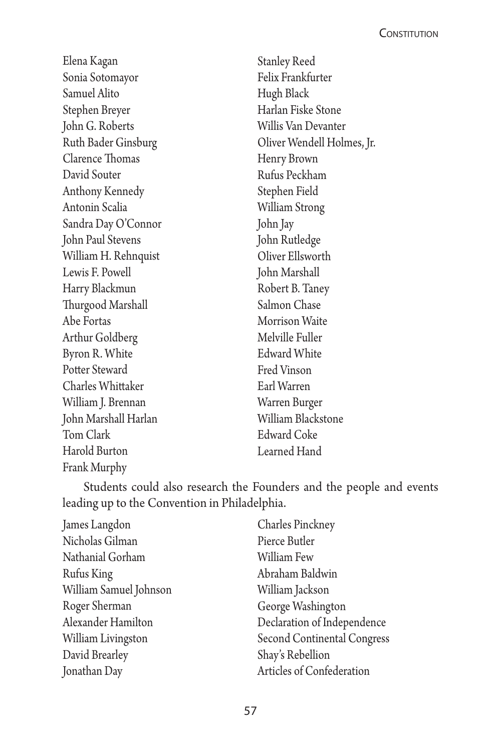Elena Kagan Sonia Sotomayor Samuel Alito Stephen Breyer John G. Roberts Ruth Bader Ginsburg Clarence Thomas David Souter Anthony Kennedy Antonin Scalia Sandra Day O'Connor John Paul Stevens William H. Rehnquist Lewis F. Powell Harry Blackmun Thurgood Marshall Abe Fortas Arthur Goldberg Byron R. White Potter Steward Charles Whittaker William J. Brennan John Marshall Harlan Tom Clark Harold Burton Frank Murphy

Stanley Reed Felix Frankfurter Hugh Black Harlan Fiske Stone Willis Van Devanter Oliver Wendell Holmes, Jr. Henry Brown Rufus Peckham Stephen Field William Strong John Jay John Rutledge Oliver Ellsworth John Marshall Robert B. Taney Salmon Chase Morrison Waite Melville Fuller Edward White Fred Vinson Earl Warren Warren Burger William Blackstone Edward Coke Learned Hand

Students could also research the Founders and the people and events leading up to the Convention in Philadelphia.

| James Langdon          | Charles Pinckney            |
|------------------------|-----------------------------|
| Nicholas Gilman        | Pierce Butler               |
| Nathanial Gorham       | William Few                 |
| Rufus King             | Abraham Baldwin             |
| William Samuel Johnson | William Jackson             |
| Roger Sherman          | George Washington           |
| Alexander Hamilton     | Declaration of Independence |
| William Livingston     | Second Continental Congress |
| David Brearley         | Shay's Rebellion            |
| Jonathan Day           | Articles of Confederation   |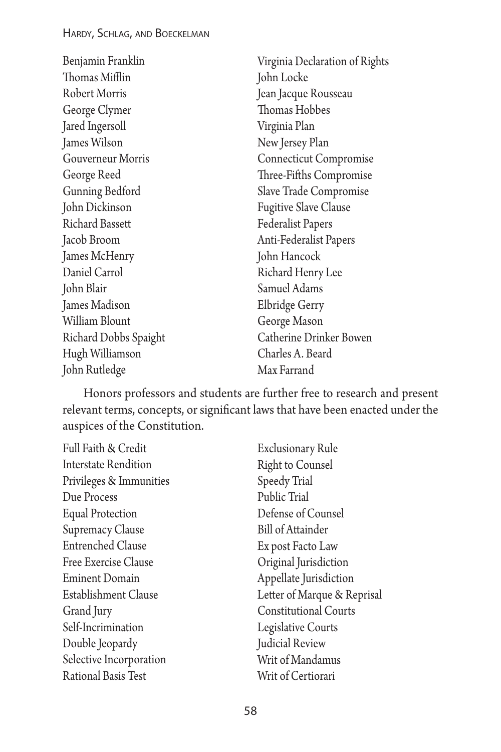| Benjamin Franklin      | Virginia Declaration of Rights |
|------------------------|--------------------------------|
| Thomas Mifflin         | John Locke                     |
| Robert Morris          | Jean Jacque Rousseau           |
| George Clymer          | Thomas Hobbes                  |
| Jared Ingersoll        | Virginia Plan                  |
| James Wilson           | New Jersey Plan                |
| Gouverneur Morris      | <b>Connecticut Compromise</b>  |
| George Reed            | Three-Fifths Compromise        |
| Gunning Bedford        | Slave Trade Compromise         |
| John Dickinson         | <b>Fugitive Slave Clause</b>   |
| <b>Richard Bassett</b> | <b>Federalist Papers</b>       |
| Jacob Broom            | Anti-Federalist Papers         |
| James McHenry          | John Hancock                   |
| Daniel Carrol          | Richard Henry Lee              |
| John Blair             | Samuel Adams                   |
| James Madison          | Elbridge Gerry                 |
| William Blount         | George Mason                   |
| Richard Dobbs Spaight  | Catherine Drinker Bowen        |
| Hugh Williamson        | Charles A. Beard               |
| John Rutledge          | Max Farrand                    |

Honors professors and students are further free to research and present relevant terms, concepts, or significant laws that have been enacted under the auspices of the Constitution.

| Full Faith & Credit         | <b>Exclusionary Rule</b>     |
|-----------------------------|------------------------------|
| <b>Interstate Rendition</b> | <b>Right to Counsel</b>      |
| Privileges & Immunities     | Speedy Trial                 |
| Due Process                 | Public Trial                 |
| <b>Equal Protection</b>     | Defense of Counsel           |
| Supremacy Clause            | <b>Bill of Attainder</b>     |
| <b>Entrenched Clause</b>    | Ex post Facto Law            |
| Free Exercise Clause        | Original Jurisdiction        |
| <b>Eminent Domain</b>       | Appellate Jurisdiction       |
| Establishment Clause        | Letter of Marque & Reprisal  |
| Grand Jury                  | <b>Constitutional Courts</b> |
| Self-Incrimination          | Legislative Courts           |
| Double Jeopardy             | Judicial Review              |
| Selective Incorporation     | Writ of Mandamus             |
| Rational Basis Test         | Writ of Certiorari           |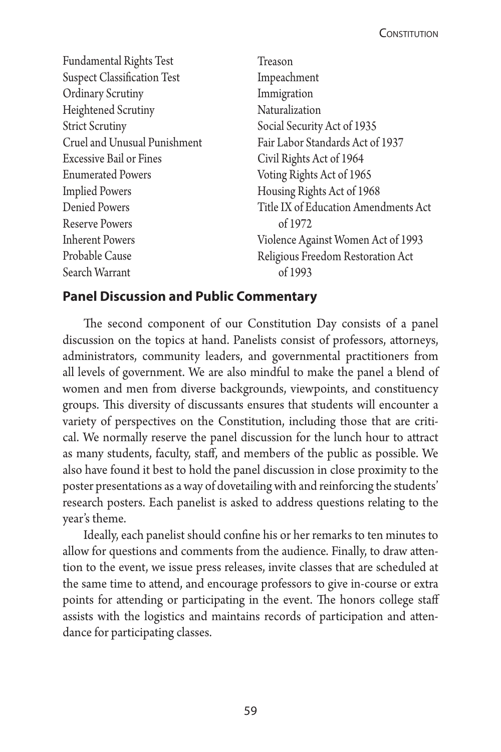Fundamental Rights Test Suspect Classification Test Ordinary Scrutiny Heightened Scrutiny Strict Scrutiny Cruel and Unusual Punishment Excessive Bail or Fines Enumerated Powers Implied Powers Denied Powers Reserve Powers Inherent Powers Probable Cause Search Warrant

Treason Impeachment Immigration Naturalization Social Security Act of 1935 Fair Labor Standards Act of 1937 Civil Rights Act of 1964 Voting Rights Act of 1965 Housing Rights Act of 1968 Title IX of Education Amendments Act of 1972 Violence Against Women Act of 1993 Religious Freedom Restoration Act of 1993

## **Panel Discussion and Public Commentary**

The second component of our Constitution Day consists of a panel discussion on the topics at hand. Panelists consist of professors, attorneys, administrators, community leaders, and governmental practitioners from all levels of government. We are also mindful to make the panel a blend of women and men from diverse backgrounds, viewpoints, and constituency groups. This diversity of discussants ensures that students will encounter a variety of perspectives on the Constitution, including those that are critical. We normally reserve the panel discussion for the lunch hour to attract as many students, faculty, staff, and members of the public as possible. We also have found it best to hold the panel discussion in close proximity to the poster presentations as a way of dovetailing with and reinforcing the students' research posters. Each panelist is asked to address questions relating to the year's theme.

Ideally, each panelist should confine his or her remarks to ten minutes to allow for questions and comments from the audience. Finally, to draw attention to the event, we issue press releases, invite classes that are scheduled at the same time to attend, and encourage professors to give in-course or extra points for attending or participating in the event. The honors college staff assists with the logistics and maintains records of participation and attendance for participating classes.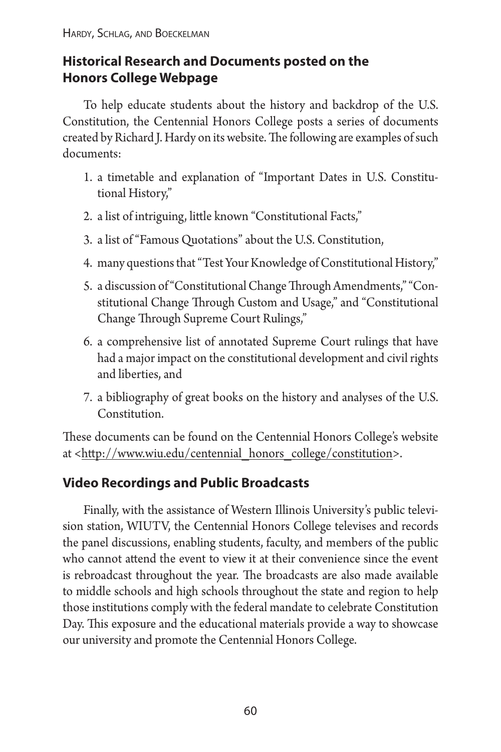# **Historical Research and Documents posted on the Honors College Webpage**

To help educate students about the history and backdrop of the U.S. Constitution, the Centennial Honors College posts a series of documents created by Richard J. Hardy on its website. The following are examples of such documents:

- 1. a timetable and explanation of "Important Dates in U.S. Constitutional History,"
- 2. a list of intriguing, little known "Constitutional Facts,"
- 3. a list of "Famous Quotations" about the U.S. Constitution,
- 4. many questions that "Test Your Knowledge of Constitutional History,"
- 5. a discussion of "Constitutional Change Through Amendments," "Constitutional Change Through Custom and Usage," and "Constitutional Change Through Supreme Court Rulings,"
- 6. a comprehensive list of annotated Supreme Court rulings that have had a major impact on the constitutional development and civil rights and liberties, and
- 7. a bibliography of great books on the history and analyses of the U.S. Constitution.

These documents can be found on the Centennial Honors College's website at [<http://www.wiu.edu/centennial\\_honors\\_college/constitution](http://www.wiu.edu/centennial_honors_college/constitution)>.

# **Video Recordings and Public Broadcasts**

Finally, with the assistance of Western Illinois University's public television station, WIUTV, the Centennial Honors College televises and records the panel discussions, enabling students, faculty, and members of the public who cannot attend the event to view it at their convenience since the event is rebroadcast throughout the year. The broadcasts are also made available to middle schools and high schools throughout the state and region to help those institutions comply with the federal mandate to celebrate Constitution Day. This exposure and the educational materials provide a way to showcase our university and promote the Centennial Honors College.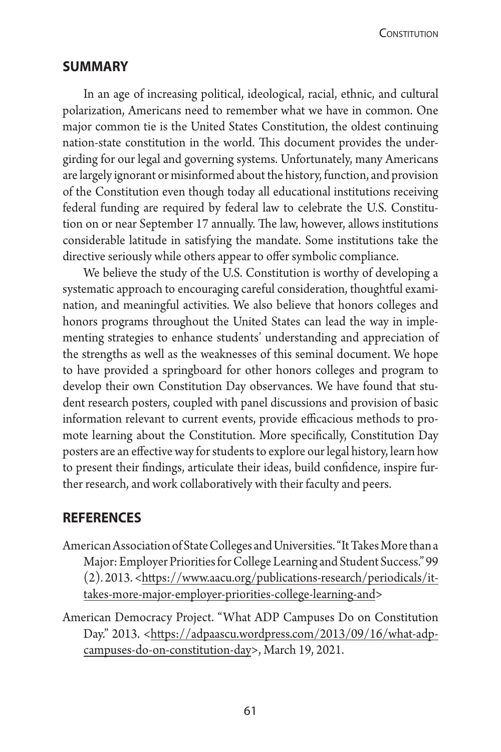CONSTITUTION

### **summary**

In an age of increasing political, ideological, racial, ethnic, and cultural polarization, Americans need to remember what we have in common. One major common tie is the United States Constitution, the oldest continuing nation-state constitution in the world. This document provides the undergirding for our legal and governing systems. Unfortunately, many Americans are largely ignorant or misinformed about the history, function, and provision of the Constitution even though today all educational institutions receiving federal funding are required by federal law to celebrate the U.S. Constitution on or near September 17 annually. The law, however, allows institutions considerable latitude in satisfying the mandate. Some institutions take the directive seriously while others appear to offer symbolic compliance.

We believe the study of the U.S. Constitution is worthy of developing a systematic approach to encouraging careful consideration, thoughtful examination, and meaningful activities. We also believe that honors colleges and honors programs throughout the United States can lead the way in implementing strategies to enhance students' understanding and appreciation of the strengths as well as the weaknesses of this seminal document. We hope to have provided a springboard for other honors colleges and program to develop their own Constitution Day observances. We have found that student research posters, coupled with panel discussions and provision of basic information relevant to current events, provide efficacious methods to promote learning about the Constitution. More specifically, Constitution Day posters are an effective way for students to explore our legal history, learn how to present their findings, articulate their ideas, build confidence, inspire further research, and work collaboratively with their faculty and peers.

### **references**

- American Association of State Colleges and Universities. "It Takes More than a Major: Employer Priorities for College Learning and Student Success." 99 (2). 2013. [<https://www.aacu.org/publications-research/periodicals/it](https://www.aacu.org/publications-research/periodicals/it-takes-more-major-employer-priorities-college-learning-and)[takes-more-major-employer-priorities-college-learning-and>](https://www.aacu.org/publications-research/periodicals/it-takes-more-major-employer-priorities-college-learning-and)
- American Democracy Project. "What ADP Campuses Do on Constitution Day." 2013. <[https://adpaascu.wordpress.com/2013/09/16/what-adp](https://adpaascu.wordpress.com/2013/09/16/what-adp-campuses-do-on-constitution-day)[campuses-do-on-constitution-day>](https://adpaascu.wordpress.com/2013/09/16/what-adp-campuses-do-on-constitution-day), March 19, 2021.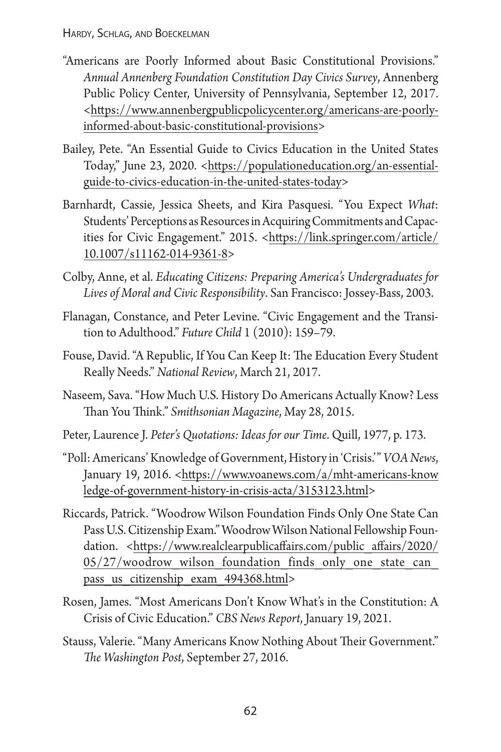- "Americans are Poorly Informed about Basic Constitutional Provisions." *Annual Annenberg Foundation Constitution Day Civics Survey*, Annenberg Public Policy Center, University of Pennsylvania, September 12, 2017. [<https://www.annenbergpublicpolicycenter.org/americans-are-poorly](https://www.annenbergpublicpolicycenter.org/americans-are-poorly-informed-about-basic-constitutional-provisions)[informed-about-basic-constitutional-provisions](https://www.annenbergpublicpolicycenter.org/americans-are-poorly-informed-about-basic-constitutional-provisions)>
- Bailey, Pete. "An Essential Guide to Civics Education in the United States Today," June 23, 2020. [<https://populationeducation.org/an-essential](https://populationeducation.org/an-essential-guide-to-civics-education-in-the-united-states-today)[guide-to-civics-education-in-the-united-states-today](https://populationeducation.org/an-essential-guide-to-civics-education-in-the-united-states-today)>
- Barnhardt, Cassie, Jessica Sheets, and Kira Pasquesi. "You Expect *What*: Students' Perceptions as Resources in Acquiring Commitments and Capacities for Civic Engagement." 2015. <[https://link.springer.com/article/](https://link.springer.com/article/10.1007/s11162-014-9361-8) [10.1007/s11162-014-9361-8](https://link.springer.com/article/10.1007/s11162-014-9361-8)>
- Colby, Anne, et al. *Educating Citizens: Preparing America's Undergraduates for Lives of Moral and Civic Responsibility*. San Francisco: Jossey-Bass, 2003.
- Flanagan, Constance, and Peter Levine. "Civic Engagement and the Transition to Adulthood." *Future Child* 1 (2010): 159–79.
- Fouse, David. "A Republic, If You Can Keep It: The Education Every Student Really Needs." *National Review*, March 21, 2017.
- Naseem, Sava. "How Much U.S. History Do Americans Actually Know? Less Than You Think." *Smithsonian Magazine*, May 28, 2015.
- Peter, Laurence J. *Peter's Quotations: Ideas for our Time*. Quill, 1977, p. 173.
- "Poll: Americans' Knowledge of Government, History in 'Crisis.'" *VOA News*, January 19, 2016. <[https://www.voanews.com/a/mht-americans-know](https://www.voanews.com/a/mht-americans-knowledge-of-government-history-in-crisis-acta/3153123.html) [ledge-of-government-history-in-crisis-acta/3153123.html>](https://www.voanews.com/a/mht-americans-knowledge-of-government-history-in-crisis-acta/3153123.html)
- Riccards, Patrick. "Woodrow Wilson Foundation Finds Only One State Can Pass U.S. Citizenship Exam." Woodrow Wilson National Fellowship Foundation. <[https://www.realclearpublicaffairs.com/public\\_affairs/2020/](https://www.realclearpublicaffairs.com/public_affairs/2020/05/27/woodrow_wilson_foundation_finds_only_one_state_can_pass_us_citizenship_exam_494368.html)  $05/27/woodrow$  wilson foundation finds only one state can pass us citizenship exam 494368.html>
- Rosen, James. "Most Americans Don't Know What's in the Constitution: A Crisis of Civic Education." *CBS News Report*, January 19, 2021.
- Stauss, Valerie. "Many Americans Know Nothing About Their Government." *The Washington Post*, September 27, 2016.